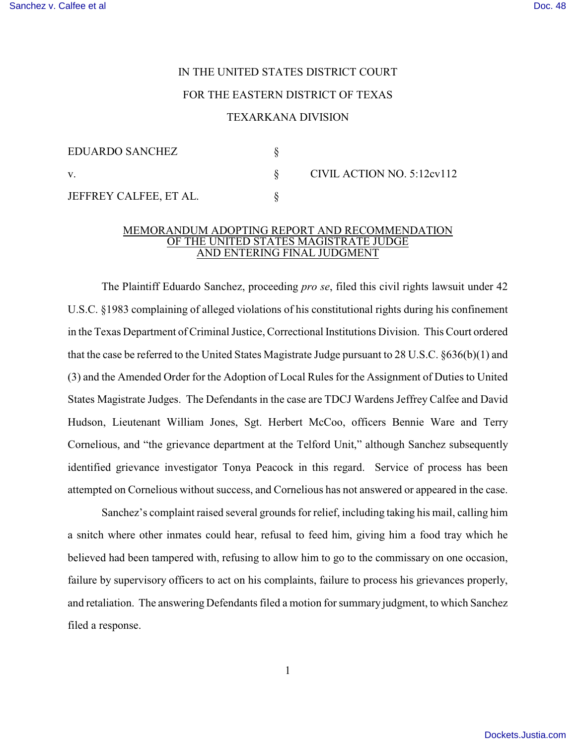## IN THE UNITED STATES DISTRICT COURT FOR THE EASTERN DISTRICT OF TEXAS

## TEXARKANA DIVISION

NO. 5:12cv112

| EDUARDO SANCHEZ        |              |
|------------------------|--------------|
|                        | CIVIL ACTION |
| JEFFREY CALFEE, ET AL. |              |

## MEMORANDUM ADOPTING REPORT AND RECOMMENDATION OF THE UNITED STATES MAGISTRATE JUDGE AND ENTERING FINAL JUDGMENT

The Plaintiff Eduardo Sanchez, proceeding *pro se*, filed this civil rights lawsuit under 42 U.S.C. §1983 complaining of alleged violations of his constitutional rights during his confinement in the Texas Department of Criminal Justice, Correctional Institutions Division. This Court ordered that the case be referred to the United States Magistrate Judge pursuant to 28 U.S.C. §636(b)(1) and (3) and the Amended Order for the Adoption of Local Rules for the Assignment of Duties to United States Magistrate Judges. The Defendants in the case are TDCJ Wardens Jeffrey Calfee and David Hudson, Lieutenant William Jones, Sgt. Herbert McCoo, officers Bennie Ware and Terry Cornelious, and "the grievance department at the Telford Unit," although Sanchez subsequently identified grievance investigator Tonya Peacock in this regard. Service of process has been attempted on Cornelious without success, and Cornelious has not answered or appeared in the case.

Sanchez's complaint raised several grounds for relief, including taking his mail, calling him a snitch where other inmates could hear, refusal to feed him, giving him a food tray which he believed had been tampered with, refusing to allow him to go to the commissary on one occasion, failure by supervisory officers to act on his complaints, failure to process his grievances properly, and retaliation. The answering Defendants filed a motion for summary judgment, to which Sanchez filed a response.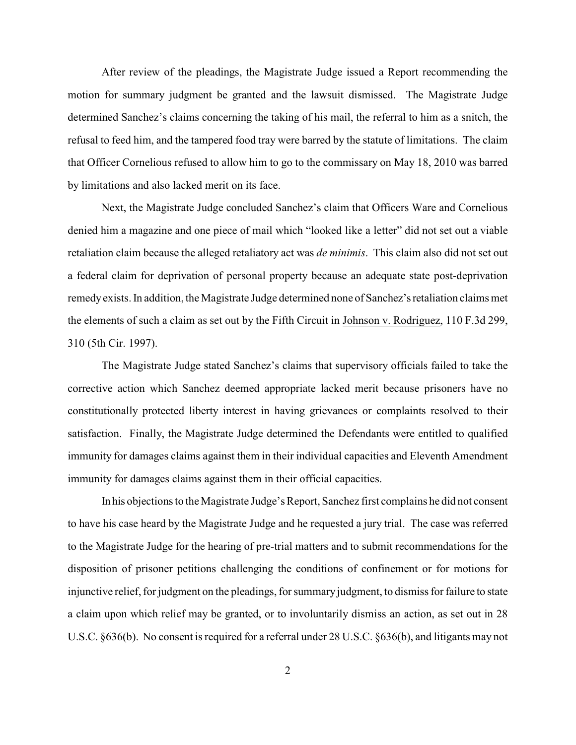After review of the pleadings, the Magistrate Judge issued a Report recommending the motion for summary judgment be granted and the lawsuit dismissed. The Magistrate Judge determined Sanchez's claims concerning the taking of his mail, the referral to him as a snitch, the refusal to feed him, and the tampered food tray were barred by the statute of limitations. The claim that Officer Cornelious refused to allow him to go to the commissary on May 18, 2010 was barred by limitations and also lacked merit on its face.

Next, the Magistrate Judge concluded Sanchez's claim that Officers Ware and Cornelious denied him a magazine and one piece of mail which "looked like a letter" did not set out a viable retaliation claim because the alleged retaliatory act was *de minimis*. This claim also did not set out a federal claim for deprivation of personal property because an adequate state post-deprivation remedy exists. In addition, the Magistrate Judge determined none of Sanchez's retaliation claims met the elements of such a claim as set out by the Fifth Circuit in Johnson v. Rodriguez, 110 F.3d 299, 310 (5th Cir. 1997).

The Magistrate Judge stated Sanchez's claims that supervisory officials failed to take the corrective action which Sanchez deemed appropriate lacked merit because prisoners have no constitutionally protected liberty interest in having grievances or complaints resolved to their satisfaction. Finally, the Magistrate Judge determined the Defendants were entitled to qualified immunity for damages claims against them in their individual capacities and Eleventh Amendment immunity for damages claims against them in their official capacities.

In his objections to the Magistrate Judge's Report, Sanchez first complains he did not consent to have his case heard by the Magistrate Judge and he requested a jury trial. The case was referred to the Magistrate Judge for the hearing of pre-trial matters and to submit recommendations for the disposition of prisoner petitions challenging the conditions of confinement or for motions for injunctive relief, for judgment on the pleadings, for summary judgment, to dismiss for failure to state a claim upon which relief may be granted, or to involuntarily dismiss an action, as set out in 28 U.S.C. §636(b). No consent is required for a referral under 28 U.S.C. §636(b), and litigants may not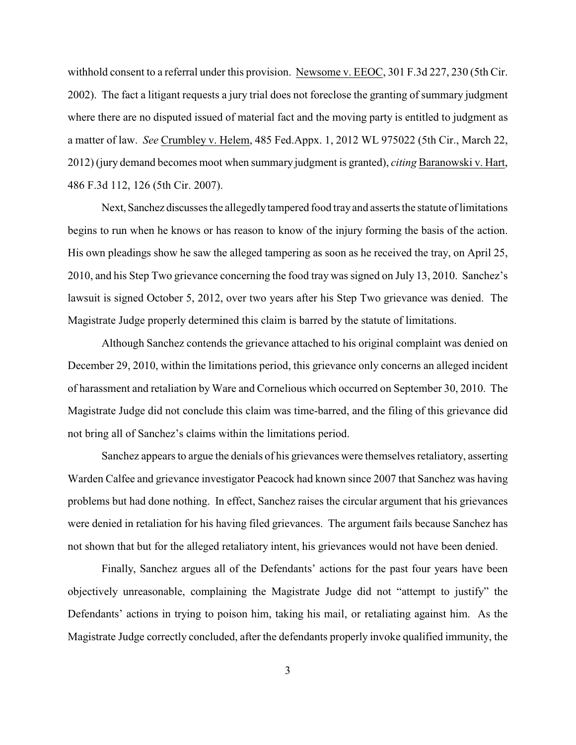withhold consent to a referral under this provision. Newsome v. EEOC, 301 F.3d 227, 230 (5th Cir. 2002). The fact a litigant requests a jury trial does not foreclose the granting of summary judgment where there are no disputed issued of material fact and the moving party is entitled to judgment as a matter of law. *See* Crumbley v. Helem, 485 Fed.Appx. 1, 2012 WL 975022 (5th Cir., March 22, 2012) (jury demand becomes moot when summary judgment is granted), *citing* Baranowski v. Hart, 486 F.3d 112, 126 (5th Cir. 2007).

Next, Sanchez discusses the allegedly tampered food tray and asserts the statute of limitations begins to run when he knows or has reason to know of the injury forming the basis of the action. His own pleadings show he saw the alleged tampering as soon as he received the tray, on April 25, 2010, and his Step Two grievance concerning the food tray was signed on July 13, 2010. Sanchez's lawsuit is signed October 5, 2012, over two years after his Step Two grievance was denied. The Magistrate Judge properly determined this claim is barred by the statute of limitations.

Although Sanchez contends the grievance attached to his original complaint was denied on December 29, 2010, within the limitations period, this grievance only concerns an alleged incident of harassment and retaliation by Ware and Cornelious which occurred on September 30, 2010. The Magistrate Judge did not conclude this claim was time-barred, and the filing of this grievance did not bring all of Sanchez's claims within the limitations period.

Sanchez appears to argue the denials of his grievances were themselves retaliatory, asserting Warden Calfee and grievance investigator Peacock had known since 2007 that Sanchez was having problems but had done nothing. In effect, Sanchez raises the circular argument that his grievances were denied in retaliation for his having filed grievances. The argument fails because Sanchez has not shown that but for the alleged retaliatory intent, his grievances would not have been denied.

Finally, Sanchez argues all of the Defendants' actions for the past four years have been objectively unreasonable, complaining the Magistrate Judge did not "attempt to justify" the Defendants' actions in trying to poison him, taking his mail, or retaliating against him. As the Magistrate Judge correctly concluded, after the defendants properly invoke qualified immunity, the